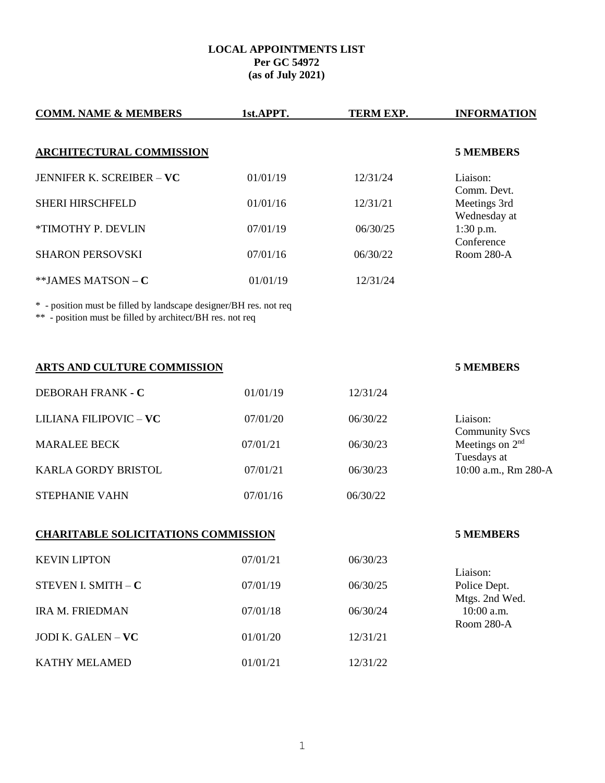## **LOCAL APPOINTMENTS LIST Per GC 54972 (as of July 2021)**

| <b>COMM. NAME &amp; MEMBERS</b>                                                                                                | 1st.APPT. | TERM EXP. | <b>INFORMATION</b>                                                                          |
|--------------------------------------------------------------------------------------------------------------------------------|-----------|-----------|---------------------------------------------------------------------------------------------|
| <b>ARCHITECTURAL COMMISSION</b>                                                                                                |           |           | <b>5 MEMBERS</b>                                                                            |
| <b>JENNIFER K. SCREIBER - VC</b>                                                                                               | 01/01/19  | 12/31/24  | Liaison:                                                                                    |
| <b>SHERI HIRSCHFELD</b>                                                                                                        | 01/01/16  | 12/31/21  | Comm. Devt.<br>Meetings 3rd<br>Wednesday at<br>1:30 p.m.<br>Conference<br>Room 280-A        |
| *TIMOTHY P. DEVLIN                                                                                                             | 07/01/19  | 06/30/25  |                                                                                             |
| <b>SHARON PERSOVSKI</b>                                                                                                        | 07/01/16  | 06/30/22  |                                                                                             |
| **JAMES MATSON - C                                                                                                             | 01/01/19  | 12/31/24  |                                                                                             |
| * - position must be filled by landscape designer/BH res. not req<br>** - position must be filled by architect/BH res. not req |           |           |                                                                                             |
| ARTS AND CULTURE COMMISSION                                                                                                    |           |           | <b>5 MEMBERS</b>                                                                            |
| DEBORAH FRANK - C                                                                                                              | 01/01/19  | 12/31/24  |                                                                                             |
| LILIANA FILIPOVIC - VC                                                                                                         | 07/01/20  | 06/30/22  | Liaison:                                                                                    |
| <b>MARALEE BECK</b>                                                                                                            | 07/01/21  | 06/30/23  | <b>Community Svcs</b><br>Meetings on 2 <sup>nd</sup><br>Tuesdays at<br>10:00 a.m., Rm 280-A |
| KARLA GORDY BRISTOL                                                                                                            | 07/01/21  | 06/30/23  |                                                                                             |
| <b>STEPHANIE VAHN</b>                                                                                                          | 07/01/16  | 06/30/22  |                                                                                             |
| <b>CHARITABLE SOLICITATIONS COMMISSION</b>                                                                                     |           |           | <b>5 MEMBERS</b>                                                                            |
| <b>KEVIN LIPTON</b>                                                                                                            | 07/01/21  | 06/30/23  | Liaison:<br>Police Dept.<br>Mtgs. 2nd Wed.<br>10:00 a.m.<br>Room 280-A                      |
| STEVEN I. SMITH $-$ C                                                                                                          | 07/01/19  | 06/30/25  |                                                                                             |
| <b>IRA M. FRIEDMAN</b>                                                                                                         | 07/01/18  | 06/30/24  |                                                                                             |
| JODI K. GALEN - VC                                                                                                             | 01/01/20  | 12/31/21  |                                                                                             |
| KATHY MELAMED                                                                                                                  | 01/01/21  | 12/31/22  |                                                                                             |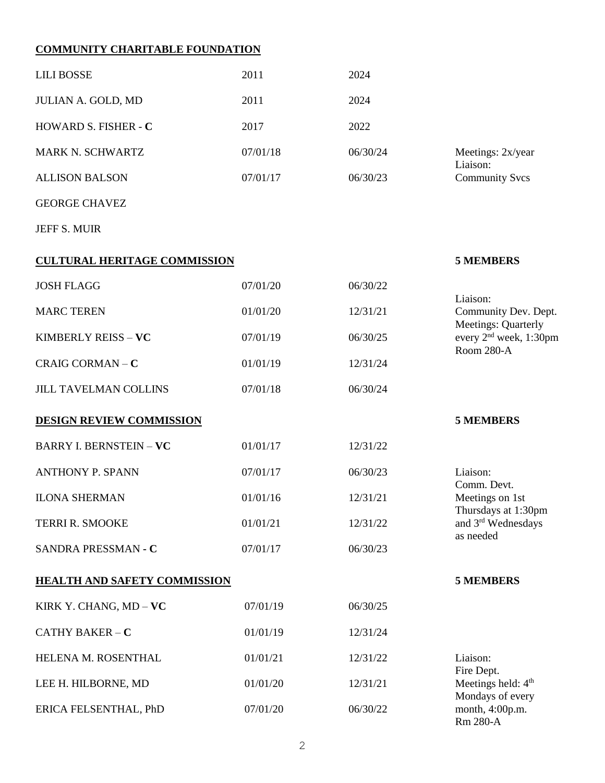# **COMMUNITY CHARITABLE FOUNDATION**

| <b>LILI BOSSE</b>                   | 2011     | 2024     |                                                                                                 |
|-------------------------------------|----------|----------|-------------------------------------------------------------------------------------------------|
| JULIAN A. GOLD, MD                  | 2011     | 2024     |                                                                                                 |
| HOWARD S. FISHER - C                | 2017     | 2022     |                                                                                                 |
| MARK N. SCHWARTZ                    | 07/01/18 | 06/30/24 | Meetings: 2x/year<br>Liaison:                                                                   |
| <b>ALLISON BALSON</b>               | 07/01/17 | 06/30/23 | <b>Community Svcs</b>                                                                           |
| <b>GEORGE CHAVEZ</b>                |          |          |                                                                                                 |
| <b>JEFF S. MUIR</b>                 |          |          |                                                                                                 |
| <b>CULTURAL HERITAGE COMMISSION</b> |          |          | <b>5 MEMBERS</b>                                                                                |
| <b>JOSH FLAGG</b>                   | 07/01/20 | 06/30/22 |                                                                                                 |
| <b>MARC TEREN</b>                   | 01/01/20 | 12/31/21 | Liaison:<br>Community Dev. Dept.                                                                |
| KIMBERLY REISS - VC                 | 07/01/19 | 06/30/25 | Meetings: Quarterly<br>every 2 <sup>nd</sup> week, 1:30pm<br>Room 280-A                         |
| CRAIG CORMAN-C                      | 01/01/19 | 12/31/24 |                                                                                                 |
| <b>JILL TAVELMAN COLLINS</b>        | 07/01/18 | 06/30/24 |                                                                                                 |
| <b>DESIGN REVIEW COMMISSION</b>     |          |          | <b>5 MEMBERS</b>                                                                                |
| <b>BARRY I. BERNSTEIN - VC</b>      | 01/01/17 | 12/31/22 |                                                                                                 |
| <b>ANTHONY P. SPANN</b>             | 07/01/17 | 06/30/23 | Liaison:                                                                                        |
| <b>ILONA SHERMAN</b>                | 01/01/16 | 12/31/21 | Comm. Devt.<br>Meetings on 1st<br>Thursdays at 1:30pm<br>and 3rd Wednesdays<br>as needed        |
| <b>TERRI R. SMOOKE</b>              | 01/01/21 | 12/31/22 |                                                                                                 |
| SANDRA PRESSMAN - C                 | 07/01/17 | 06/30/23 |                                                                                                 |
| <b>HEALTH AND SAFETY COMMISSION</b> |          |          | <b>5 MEMBERS</b>                                                                                |
| KIRK Y. CHANG, MD - VC              | 07/01/19 | 06/30/25 |                                                                                                 |
| CATHY BAKER $-C$                    | 01/01/19 | 12/31/24 |                                                                                                 |
| HELENA M. ROSENTHAL                 | 01/01/21 | 12/31/22 | Liaison:                                                                                        |
| LEE H. HILBORNE, MD                 | 01/01/20 | 12/31/21 | Fire Dept.<br>Meetings held: 4 <sup>th</sup><br>Mondays of every<br>month, 4:00p.m.<br>Rm 280-A |
| ERICA FELSENTHAL, PhD               | 07/01/20 | 06/30/22 |                                                                                                 |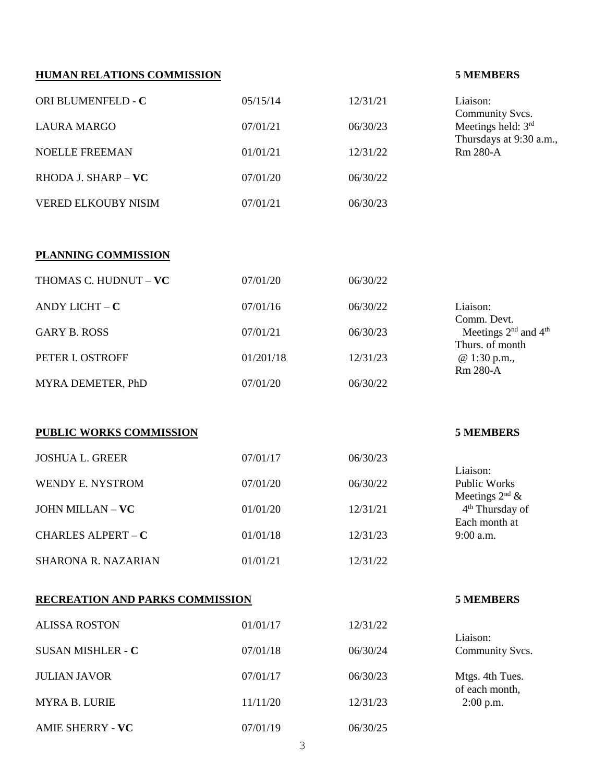# **HUMAN RELATIONS COMMISSION 5 MEMBERS**

| ORI BLUMENFELD - C                       | 05/15/14             | 12/31/21             | Liaison:                                                        |
|------------------------------------------|----------------------|----------------------|-----------------------------------------------------------------|
| <b>LAURA MARGO</b>                       | 07/01/21             | 06/30/23             | Community Svcs.<br>Meetings held: 3rd                           |
| <b>NOELLE FREEMAN</b>                    | 01/01/21             | 12/31/22             | Thursdays at 9:30 a.m.,<br>Rm 280-A                             |
| RHODA J. SHARP - VC                      | 07/01/20             | 06/30/22             |                                                                 |
| <b>VERED ELKOUBY NISIM</b>               | 07/01/21             | 06/30/23             |                                                                 |
|                                          |                      |                      |                                                                 |
| <b>PLANNING COMMISSION</b>               |                      |                      |                                                                 |
| THOMAS C. HUDNUT - VC                    | 07/01/20             | 06/30/22             |                                                                 |
| ANDY LICHT $- C$                         | 07/01/16             | 06/30/22             | Liaison:<br>Comm. Devt.                                         |
| <b>GARY B. ROSS</b>                      | 07/01/21             | 06/30/23             | Meetings 2 <sup>nd</sup> and 4 <sup>th</sup><br>Thurs. of month |
| PETER I. OSTROFF                         | 01/201/18            | 12/31/23             | @ 1:30 p.m.,<br>Rm 280-A                                        |
| MYRA DEMETER, PhD                        | 07/01/20             | 06/30/22             |                                                                 |
|                                          |                      |                      |                                                                 |
|                                          |                      |                      |                                                                 |
| PUBLIC WORKS COMMISSION                  |                      |                      | <b>5 MEMBERS</b>                                                |
| <b>JOSHUA L. GREER</b>                   | 07/01/17             | 06/30/23             |                                                                 |
| WENDY E. NYSTROM                         | 07/01/20             | 06/30/22             | Liaison:<br><b>Public Works</b>                                 |
| JOHN MILLAN - VC                         | 01/01/20             | 12/31/21             | Meetings $2^{nd}$ &<br>4 <sup>th</sup> Thursday of              |
| <b>CHARLES ALPERT - C</b>                | 01/01/18             | 12/31/23             | Each month at<br>9:00 a.m.                                      |
| <b>SHARONA R. NAZARIAN</b>               | 01/01/21             | 12/31/22             |                                                                 |
| <b>RECREATION AND PARKS COMMISSION</b>   |                      |                      | <b>5 MEMBERS</b>                                                |
|                                          |                      |                      |                                                                 |
| <b>ALISSA ROSTON</b>                     | 01/01/17             | 12/31/22             | Liaison:                                                        |
| <b>SUSAN MISHLER - C</b>                 | 07/01/18             | 06/30/24             | Community Svcs.                                                 |
| <b>JULIAN JAVOR</b>                      | 07/01/17             | 06/30/23             | Mtgs. 4th Tues.<br>of each month,                               |
| <b>MYRA B. LURIE</b><br>AMIE SHERRY - VC | 11/11/20<br>07/01/19 | 12/31/23<br>06/30/25 | 2:00 p.m.                                                       |